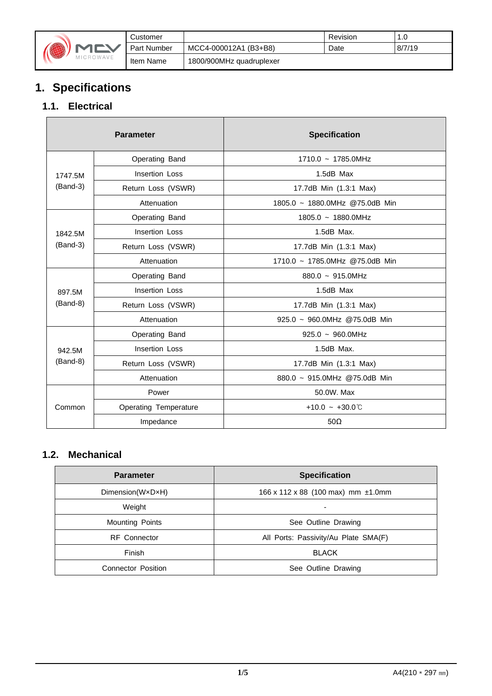

| Customer           |                          | Revision | 1.0    |
|--------------------|--------------------------|----------|--------|
| <b>Part Number</b> | MCC4-000012A1 (B3+B8)    | Date     | 8/7/19 |
| Item Name          | 1800/900MHz quadruplexer |          |        |

## **1. Specifications**

### **1.1. Electrical**

|            | <b>Parameter</b>             | <b>Specification</b>           |  |
|------------|------------------------------|--------------------------------|--|
|            | Operating Band               | $1710.0 - 1785.0$ MHz          |  |
| 1747.5M    | Insertion Loss               | 1.5dB Max                      |  |
| $(Band-3)$ | Return Loss (VSWR)           | 17.7dB Min (1.3:1 Max)         |  |
|            | Attenuation                  | 1805.0 ~ 1880.0MHz @75.0dB Min |  |
|            | Operating Band               | $1805.0 - 1880.0$ MHz          |  |
| 1842.5M    | Insertion Loss               | $1.5dB$ Max.                   |  |
| $(Band-3)$ | Return Loss (VSWR)           | 17.7dB Min (1.3:1 Max)         |  |
|            | Attenuation                  | 1710.0 ~ 1785.0MHz @75.0dB Min |  |
|            | Operating Band               | $880.0 - 915.0$ MHz            |  |
| 897.5M     | Insertion Loss               | 1.5dB Max                      |  |
| $(Band-8)$ | Return Loss (VSWR)           | 17.7dB Min (1.3:1 Max)         |  |
|            | Attenuation                  | 925.0 ~ 960.0MHz @75.0dB Min   |  |
|            | Operating Band               | $925.0 \sim 960.0$ MHz         |  |
| 942.5M     | Insertion Loss               | $1.5dB$ Max.                   |  |
| $(Band-8)$ | Return Loss (VSWR)           | 17.7dB Min (1.3:1 Max)         |  |
|            | Attenuation                  | 880.0 ~ 915.0MHz @75.0dB Min   |  |
|            | Power                        | 50.0W. Max                     |  |
| Common     | <b>Operating Temperature</b> | +10.0 ~ +30.0 $\degree$        |  |
|            | Impedance                    | $50\Omega$                     |  |

#### **1.2. Mechanical**

| <b>Parameter</b>          | <b>Specification</b>                 |  |
|---------------------------|--------------------------------------|--|
| Dimension(WxDxH)          | 166 x 112 x 88 (100 max) mm ±1.0mm   |  |
| Weight                    | -                                    |  |
| <b>Mounting Points</b>    | See Outline Drawing                  |  |
| <b>RF</b> Connector       | All Ports: Passivity/Au Plate SMA(F) |  |
| Finish                    | <b>BLACK</b>                         |  |
| <b>Connector Position</b> | See Outline Drawing                  |  |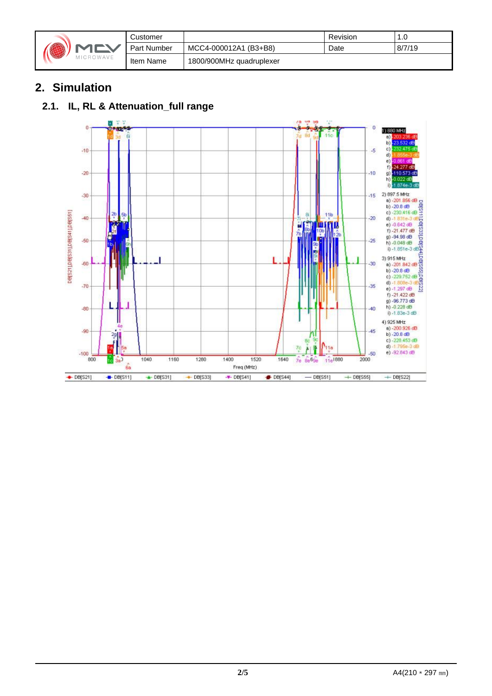|  | MICROWAVE |
|--|-----------|
|--|-----------|

|    | Customer           |                          | Revision | 1.0    |
|----|--------------------|--------------------------|----------|--------|
|    | <b>Part Number</b> | MCC4-000012A1 (B3+B8)    | Date     | 8/7/19 |
| ΙE | Item Name          | 1800/900MHz quadruplexer |          |        |

## **2. Simulation**

#### **2.1. IL, RL & Attenuation\_full range**

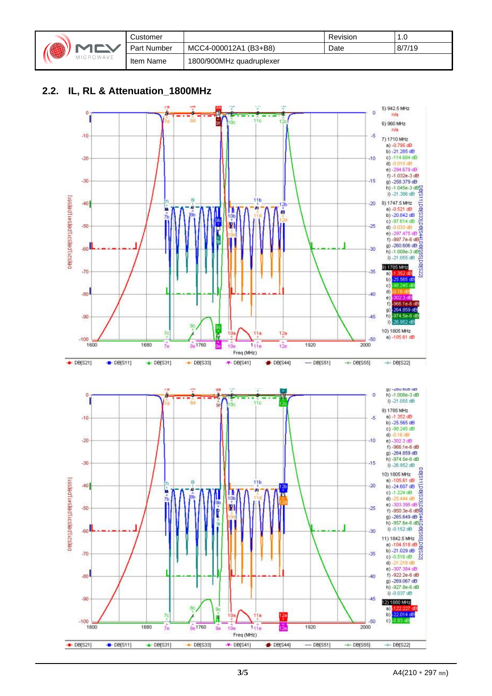|            | <b>ALIMPY</b><br>MICROWAVE | Customer           |                          | Revision | 1.O    |
|------------|----------------------------|--------------------|--------------------------|----------|--------|
| <b>RAB</b> |                            | <b>Part Number</b> | MCC4-000012A1 (B3+B8)    | Date     | 8/7/19 |
|            |                            | Item Name          | 1800/900MHz quadruplexer |          |        |

#### **2.2. IL, RL & Attenuation\_1800MHz**

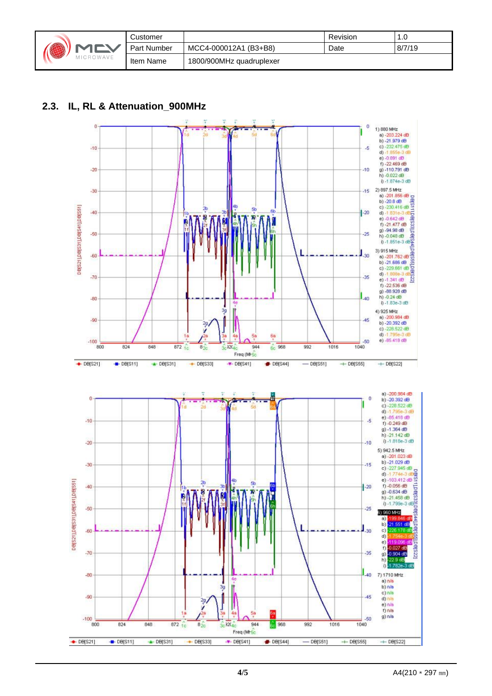|            | <b>CROWAVE</b> | こustomer    |                          | Revision | 1.U    |
|------------|----------------|-------------|--------------------------|----------|--------|
| AFFER<br>带 |                | Part Number | MCC4-000012A1 (B3+B8)    | Date     | 8/7/19 |
|            |                | Item Name   | 1800/900MHz quadruplexer |          |        |

#### **2.3. IL, RL & Attenuation\_900MHz**